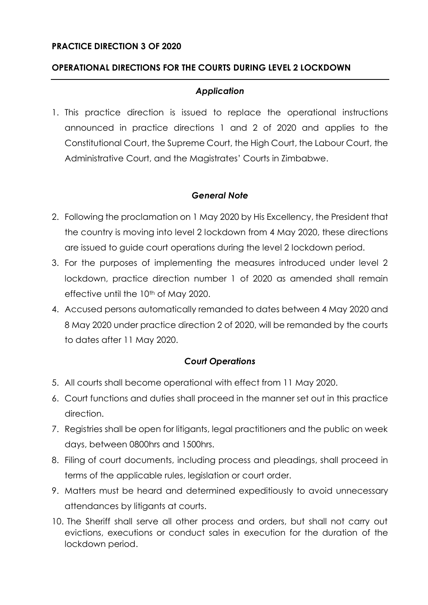### **PRACTICE DIRECTION 3 OF 2020**

### **OPERATIONAL DIRECTIONS FOR THE COURTS DURING LEVEL 2 LOCKDOWN**

### *Application*

1. This practice direction is issued to replace the operational instructions announced in practice directions 1 and 2 of 2020 and applies to the Constitutional Court, the Supreme Court, the High Court, the Labour Court, the Administrative Court, and the Magistrates' Courts in Zimbabwe.

#### *General Note*

- 2. Following the proclamation on 1 May 2020 by His Excellency, the President that the country is moving into level 2 lockdown from 4 May 2020, these directions are issued to guide court operations during the level 2 lockdown period.
- 3. For the purposes of implementing the measures introduced under level 2 lockdown, practice direction number 1 of 2020 as amended shall remain effective until the 10<sup>th</sup> of May 2020.
- 4. Accused persons automatically remanded to dates between 4 May 2020 and 8 May 2020 under practice direction 2 of 2020, will be remanded by the courts to dates after 11 May 2020.

### *Court Operations*

- 5. All courts shall become operational with effect from 11 May 2020.
- 6. Court functions and duties shall proceed in the manner set out in this practice direction.
- 7. Registries shall be open for litigants, legal practitioners and the public on week days, between 0800hrs and 1500hrs.
- 8. Filing of court documents, including process and pleadings, shall proceed in terms of the applicable rules, legislation or court order.
- 9. Matters must be heard and determined expeditiously to avoid unnecessary attendances by litigants at courts.
- 10. The Sheriff shall serve all other process and orders, but shall not carry out evictions, executions or conduct sales in execution for the duration of the lockdown period.